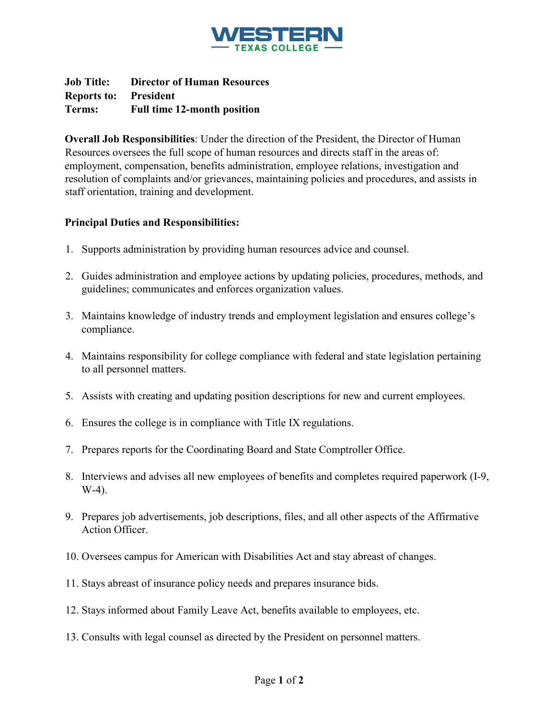

**Job Title: Director of Human Resources Reports to: President Terms: Full time 12-month position** 

**Overall Job Responsibilities**: Under the direction of the President, the Director of Human Resources oversees the full scope of human resources and directs staff in the areas of: employment, compensation, benefits administration, employee relations, investigation and resolution of complaints and/or grievances, maintaining policies and procedures, and assists in staff orientation, training and development.

## **Principal Duties and Responsibilities:**

- 1. Supports administration by providing human resources advice and counsel.
- 2. Guides administration and employee actions by updating policies, procedures, methods, and guidelines; communicates and enforces organization values.
- 3. Maintains knowledge of industry trends and employment legislation and ensures college's compliance.
- 4. Maintains responsibility for college compliance with federal and state legislation pertaining to all personnel matters.
- 5. Assists with creating and updating position descriptions for new and current employees.
- 6. Ensures the college is in compliance with Title IX regulations.
- 7. Prepares reports for the Coordinating Board and State Comptroller Office.
- 8. Interviews and advises all new employees of benefits and completes required paperwork (I-9, W-4).
- 9. Prepares job advertisements, job descriptions, files, and all other aspects of the Affirmative Action Officer.
- 10. Oversees campus for American with Disabilities Act and stay abreast of changes.
- 11. Stays abreast of insurance policy needs and prepares insurance bids.
- 12. Stays informed about Family Leave Act, benefits available to employees, etc.
- 13. Consults with legal counsel as directed by the President on personnel matters.